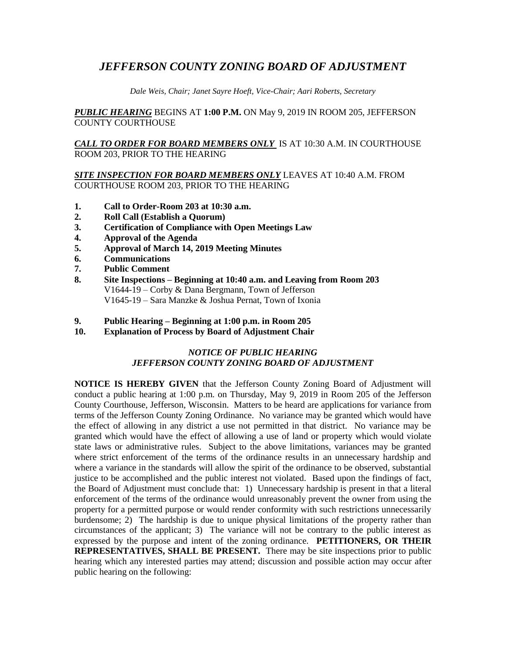# *JEFFERSON COUNTY ZONING BOARD OF ADJUSTMENT*

*Dale Weis, Chair; Janet Sayre Hoeft, Vice-Chair; Aari Roberts, Secretary*

*PUBLIC HEARING* BEGINS AT **1:00 P.M.** ON May 9, 2019 IN ROOM 205, JEFFERSON COUNTY COURTHOUSE

*CALL TO ORDER FOR BOARD MEMBERS ONLY* IS AT 10:30 A.M. IN COURTHOUSE ROOM 203, PRIOR TO THE HEARING

*SITE INSPECTION FOR BOARD MEMBERS ONLY* LEAVES AT 10:40 A.M. FROM COURTHOUSE ROOM 203, PRIOR TO THE HEARING

- **1. Call to Order-Room 203 at 10:30 a.m.**
- **2. Roll Call (Establish a Quorum)**
- **3. Certification of Compliance with Open Meetings Law**
- **4. Approval of the Agenda**
- **5. Approval of March 14, 2019 Meeting Minutes**
- **6. Communications**
- **7. Public Comment**
- **8. Site Inspections – Beginning at 10:40 a.m. and Leaving from Room 203** V1644-19 – Corby & Dana Bergmann, Town of Jefferson V1645-19 – Sara Manzke & Joshua Pernat, Town of Ixonia
- **9. Public Hearing – Beginning at 1:00 p.m. in Room 205**
- **10. Explanation of Process by Board of Adjustment Chair**

## *NOTICE OF PUBLIC HEARING JEFFERSON COUNTY ZONING BOARD OF ADJUSTMENT*

**NOTICE IS HEREBY GIVEN** that the Jefferson County Zoning Board of Adjustment will conduct a public hearing at 1:00 p.m. on Thursday, May 9, 2019 in Room 205 of the Jefferson County Courthouse, Jefferson, Wisconsin. Matters to be heard are applications for variance from terms of the Jefferson County Zoning Ordinance. No variance may be granted which would have the effect of allowing in any district a use not permitted in that district. No variance may be granted which would have the effect of allowing a use of land or property which would violate state laws or administrative rules. Subject to the above limitations, variances may be granted where strict enforcement of the terms of the ordinance results in an unnecessary hardship and where a variance in the standards will allow the spirit of the ordinance to be observed, substantial justice to be accomplished and the public interest not violated. Based upon the findings of fact, the Board of Adjustment must conclude that: 1) Unnecessary hardship is present in that a literal enforcement of the terms of the ordinance would unreasonably prevent the owner from using the property for a permitted purpose or would render conformity with such restrictions unnecessarily burdensome; 2) The hardship is due to unique physical limitations of the property rather than circumstances of the applicant; 3) The variance will not be contrary to the public interest as expressed by the purpose and intent of the zoning ordinance. **PETITIONERS, OR THEIR REPRESENTATIVES, SHALL BE PRESENT.** There may be site inspections prior to public hearing which any interested parties may attend; discussion and possible action may occur after public hearing on the following: